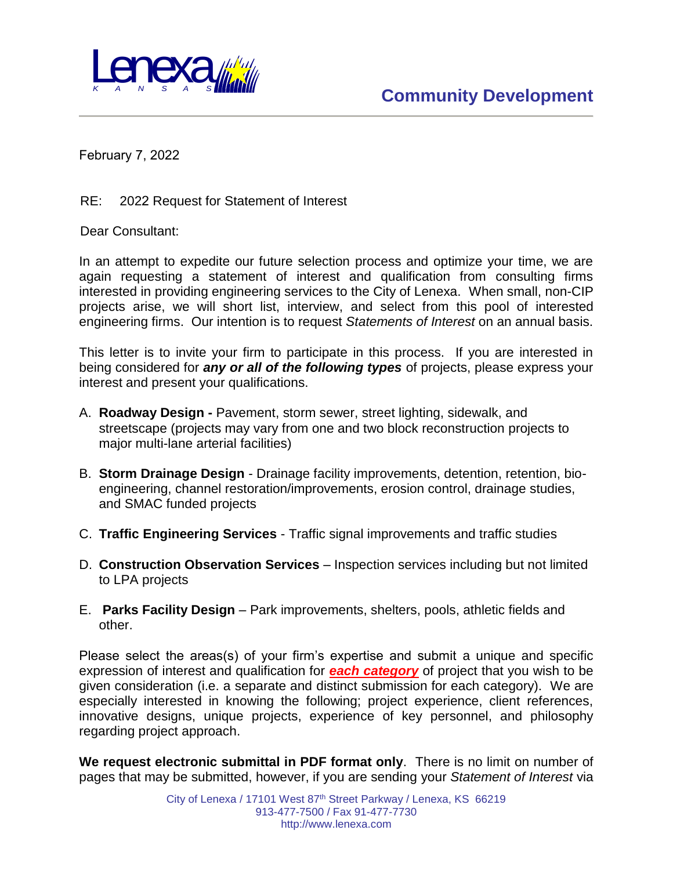

February 7, 2022

RE: 2022 Request for Statement of Interest

Dear Consultant:

In an attempt to expedite our future selection process and optimize your time, we are again requesting a statement of interest and qualification from consulting firms interested in providing engineering services to the City of Lenexa. When small, non-CIP projects arise, we will short list, interview, and select from this pool of interested engineering firms. Our intention is to request *Statements of Interest* on an annual basis.

This letter is to invite your firm to participate in this process. If you are interested in being considered for *any or all of the following types* of projects, please express your interest and present your qualifications.

- A. **Roadway Design -** Pavement, storm sewer, street lighting, sidewalk, and streetscape (projects may vary from one and two block reconstruction projects to major multi-lane arterial facilities)
- B. **Storm Drainage Design**  Drainage facility improvements, detention, retention, bioengineering, channel restoration/improvements, erosion control, drainage studies, and SMAC funded projects
- C. **Traffic Engineering Services** Traffic signal improvements and traffic studies
- D. **Construction Observation Services** Inspection services including but not limited to LPA projects
- E. **Parks Facility Design** Park improvements, shelters, pools, athletic fields and other.

Please select the areas(s) of your firm's expertise and submit a unique and specific expression of interest and qualification for *each category* of project that you wish to be given consideration (i.e. a separate and distinct submission for each category). We are especially interested in knowing the following; project experience, client references, innovative designs, unique projects, experience of key personnel, and philosophy regarding project approach.

**We request electronic submittal in PDF format only**. There is no limit on number of pages that may be submitted, however, if you are sending your *Statement of Interest* via